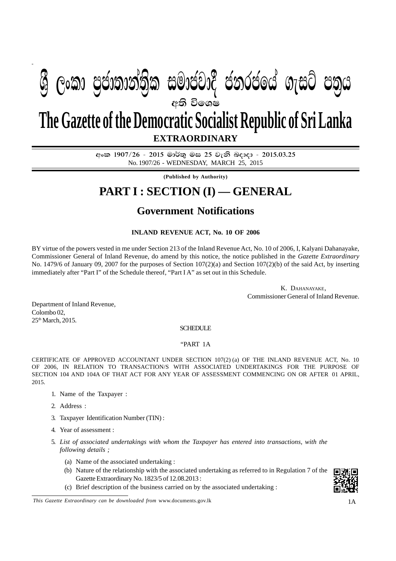# අති වි**ශෙ**ෂ **EXTRAORDINARY The Gazette of the Democratic Socialist Republic of Sri Lanka**  $\mathfrak{G}$  ලංකා පුජාතාන්තිුක සමාජවාදී ජනරජයේ ගැසට් පතුය

අංක 1907/26 - 2015 මාර්තු මස 25 වැනි බදාදා - 2015.03.25 No. 1907/26 - WEDNESDAY, MARCH 25, 2015

**(Published by Authority)**

## **PART I : SECTION (I) — GENERAL**

## **Government Notifications**

### **INLAND REVENUE ACT, No. 10 OF 2006**

BY virtue of the powers vested in me under Section 213 of the Inland Revenue Act, No. 10 of 2006, I, Kalyani Dahanayake, Commissioner General of Inland Revenue, do amend by this notice, the notice published in the *Gazette Extraordinary* No. 1479/6 of January 09, 2007 for the purposes of Section 107(2)(a) and Section 107(2)(b) of the said Act, by inserting immediately after "Part I" of the Schedule thereof, "Part I A" as set out in this Schedule.

> K. DAHANAYAKE, Commissioner General of Inland Revenue.

Department of Inland Revenue, Colombo 02, 25<sup>th</sup> March, 2015.

SCHEDULE

#### "PART 1A

CERTIFICATE OF APPROVED ACCOUNTANT UNDER SECTION 107(2) (a) OF THE INLAND REVENUE ACT, No. 10 OF 2006, IN RELATION TO TRANSACTION/S WITH ASSOCIATED UNDERTAKINGS FOR THE PURPOSE OF SECTION 104 AND 104A OF THAT ACT FOR ANY YEAR OF ASSESSMENT COMMENCING ON OR AFTER 01 APRIL, 2015.

- 1. Name of the Taxpayer :
- 2. Address :
- 3. Taxpayer Identification Number (TIN) :
- 4. Year of assessment :
- 5. *List of associated undertakings with whom the Taxpayer has entered into transactions, with the following details ;*
	- (a) Name of the associated undertaking :
	- (b) Nature of the relationship with the associated undertaking as referred to in Regulation 7 of the Gazette Extraordinary No. 1823/5 of 12.08.2013 :
	- (c) Brief description of the business carried on by the associated undertaking :

*This Gazette Extraordinary can be downloaded from www.documents.gov.lk* 1A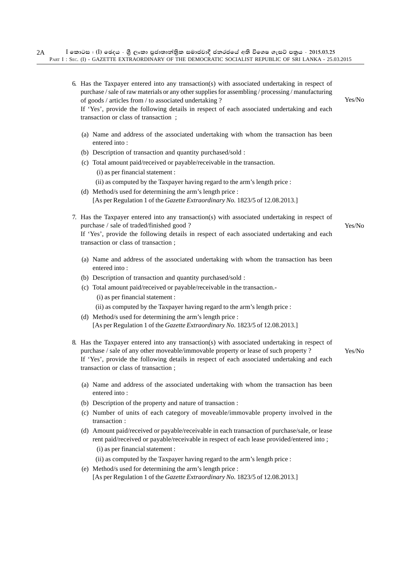| 6. Has the Taxpayer entered into any transaction(s) with associated undertaking in respect of<br>purchase / sale of raw materials or any other supplies for assembling / processing / manufacturing<br>of goods / articles from / to associated undertaking ?<br>If 'Yes', provide the following details in respect of each associated undertaking and each<br>transaction or class of transaction; | Yes/No |
|-----------------------------------------------------------------------------------------------------------------------------------------------------------------------------------------------------------------------------------------------------------------------------------------------------------------------------------------------------------------------------------------------------|--------|
| (a) Name and address of the associated undertaking with whom the transaction has been<br>entered into:                                                                                                                                                                                                                                                                                              |        |
| (b) Description of transaction and quantity purchased/sold :                                                                                                                                                                                                                                                                                                                                        |        |
| (c) Total amount paid/received or payable/receivable in the transaction.                                                                                                                                                                                                                                                                                                                            |        |
| (i) as per financial statement :                                                                                                                                                                                                                                                                                                                                                                    |        |
| (ii) as computed by the Taxpayer having regard to the arm's length price :                                                                                                                                                                                                                                                                                                                          |        |
| (d) Method/s used for determining the arm's length price :                                                                                                                                                                                                                                                                                                                                          |        |
| [As per Regulation 1 of the Gazette Extraordinary No. 1823/5 of 12.08.2013.]                                                                                                                                                                                                                                                                                                                        |        |
| 7. Has the Taxpayer entered into any transaction(s) with associated undertaking in respect of<br>purchase / sale of traded/finished good?                                                                                                                                                                                                                                                           | Yes/No |
| If 'Yes', provide the following details in respect of each associated undertaking and each<br>transaction or class of transaction;                                                                                                                                                                                                                                                                  |        |
| (a) Name and address of the associated undertaking with whom the transaction has been<br>entered into:                                                                                                                                                                                                                                                                                              |        |
| (b) Description of transaction and quantity purchased/sold :                                                                                                                                                                                                                                                                                                                                        |        |
| (c) Total amount paid/received or payable/receivable in the transaction.-                                                                                                                                                                                                                                                                                                                           |        |
| (i) as per financial statement :                                                                                                                                                                                                                                                                                                                                                                    |        |
| (ii) as computed by the Taxpayer having regard to the arm's length price :                                                                                                                                                                                                                                                                                                                          |        |
| (d) Method/s used for determining the arm's length price :                                                                                                                                                                                                                                                                                                                                          |        |
| [As per Regulation 1 of the Gazette Extraordinary No. 1823/5 of 12.08.2013.]                                                                                                                                                                                                                                                                                                                        |        |
| 8. Has the Taxpayer entered into any transaction(s) with associated undertaking in respect of<br>purchase / sale of any other moveable/immovable property or lease of such property ?<br>If 'Yes', provide the following details in respect of each associated undertaking and each<br>transaction or class of transaction;                                                                         | Yes/No |
| (a) Name and address of the associated undertaking with whom the transaction has been<br>entered into:                                                                                                                                                                                                                                                                                              |        |
| (b) Description of the property and nature of transaction :                                                                                                                                                                                                                                                                                                                                         |        |
| (c) Number of units of each category of moveable/immovable property involved in the<br>transaction:                                                                                                                                                                                                                                                                                                 |        |
| (d) Amount paid/received or payable/receivable in each transaction of purchase/sale, or lease<br>rent paid/received or payable/receivable in respect of each lease provided/entered into;<br>(i) as per financial statement :                                                                                                                                                                       |        |

(ii) as computed by the Taxpayer having regard to the arm's length price :

(e) Method/s used for determining the arm's length price : [As per Regulation 1 of the *Gazette Extraordinary No.* 1823/5 of 12.08.2013.]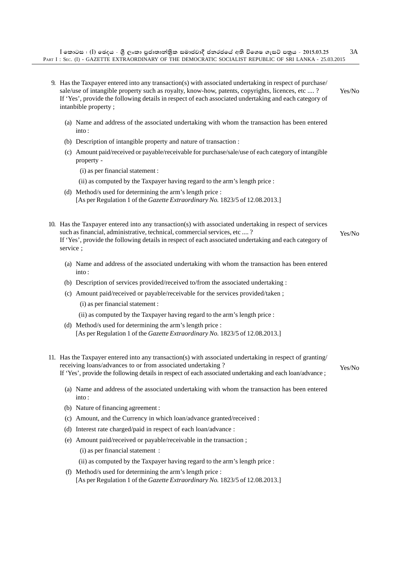- 9. Has the Taxpayer entered into any transaction(s) with associated undertaking in respect of purchase/ sale/use of intangible property such as royalty, know-how, patents, copyrights, licences, etc .... ? If 'Yes', provide the following details in respect of each associated undertaking and each category of intanbible property ; Yes/No
	- (a) Name and address of the associated undertaking with whom the transaction has been entered into :
	- (b) Description of intangible property and nature of transaction :
	- (c) Amount paid/received or payable/receivable for purchase/sale/use of each category of intangible property -
		- (i) as per financial statement :
		- (ii) as computed by the Taxpayer having regard to the arm's length price :
	- (d) Method/s used for determining the arm's length price : [As per Regulation 1 of the *Gazette Extraordinary No.* 1823/5 of 12.08.2013.]
- 10. Has the Taxpayer entered into any transaction(s) with associated undertaking in respect of services such as financial, administrative, technical, commercial services, etc .... ? If 'Yes', provide the following details in respect of each associated undertaking and each category of service ; Yes/No
	- (a) Name and address of the associated undertaking with whom the transaction has been entered into :
	- (b) Description of services provided/received to/from the associated undertaking :
	- (c) Amount paid/received or payable/receivable for the services provided/taken ;
		- (i) as per financial statement :
		- (ii) as computed by the Taxpayer having regard to the arm's length price :
	- (d) Method/s used for determining the arm's length price : [As per Regulation 1 of the *Gazette Extraordinary No.* 1823/5 of 12.08.2013.]
- 11. Has the Taxpayer entered into any transaction(s) with associated undertaking in respect of granting/ receiving loans/advances to or from associated undertaking ? If 'Yes', provide the following details in respect of each associated undertaking and each loan/advance ; Yes/No
	- (a) Name and address of the associated undertaking with whom the transaction has been entered into :
	- (b) Nature of financing agreement :
	- (c) Amount, and the Currency in which loan/advance granted/received :
	- (d) Interest rate charged/paid in respect of each loan/advance :
	- (e) Amount paid/received or payable/receivable in the transaction ;

(i) as per financial statement :

- (ii) as computed by the Taxpayer having regard to the arm's length price :
- (f) Method/s used for determining the arm's length price : [As per Regulation 1 of the *Gazette Extraordinary No.* 1823/5 of 12.08.2013.]